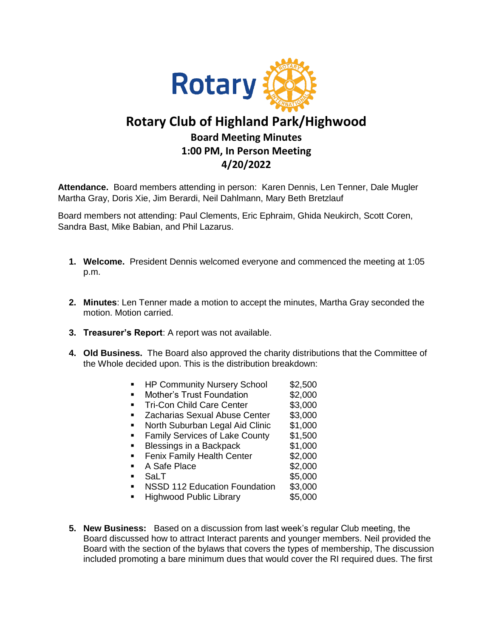

## **Rotary Club of Highland Park/Highwood Board Meeting Minutes 1:00 PM, In Person Meeting 4/20/2022**

**Attendance.** Board members attending in person: Karen Dennis, Len Tenner, Dale Mugler Martha Gray, Doris Xie, Jim Berardi, Neil Dahlmann, Mary Beth Bretzlauf

Board members not attending: Paul Clements, Eric Ephraim, Ghida Neukirch, Scott Coren, Sandra Bast, Mike Babian, and Phil Lazarus.

- **1. Welcome.** President Dennis welcomed everyone and commenced the meeting at 1:05 p.m.
- **2. Minutes**: Len Tenner made a motion to accept the minutes, Martha Gray seconded the motion. Motion carried.
- **3. Treasurer's Report**: A report was not available.
- **4. Old Business.** The Board also approved the charity distributions that the Committee of the Whole decided upon. This is the distribution breakdown:
	- **HP Community Nursery School \$2,500**
	- **Mother's Trust Foundation 52,000**
	- **Tri-Con Child Care Center 53,000**
	- **EXEC** Zacharias Sexual Abuse Center \$3,000
	- North Suburban Legal Aid Clinic \$1,000
	- **Family Services of Lake County \$1,500**
	- Blessings in a Backpack \$1,000
	- **Fenix Family Health Center \$2,000**
	- A Safe Place \$2,000
	- SaLT \$5,000
	- NSSD 112 Education Foundation \$3,000
	- Highwood Public Library \$5,000
- **5. New Business:** Based on a discussion from last week's regular Club meeting, the Board discussed how to attract Interact parents and younger members. Neil provided the Board with the section of the bylaws that covers the types of membership, The discussion included promoting a bare minimum dues that would cover the RI required dues. The first